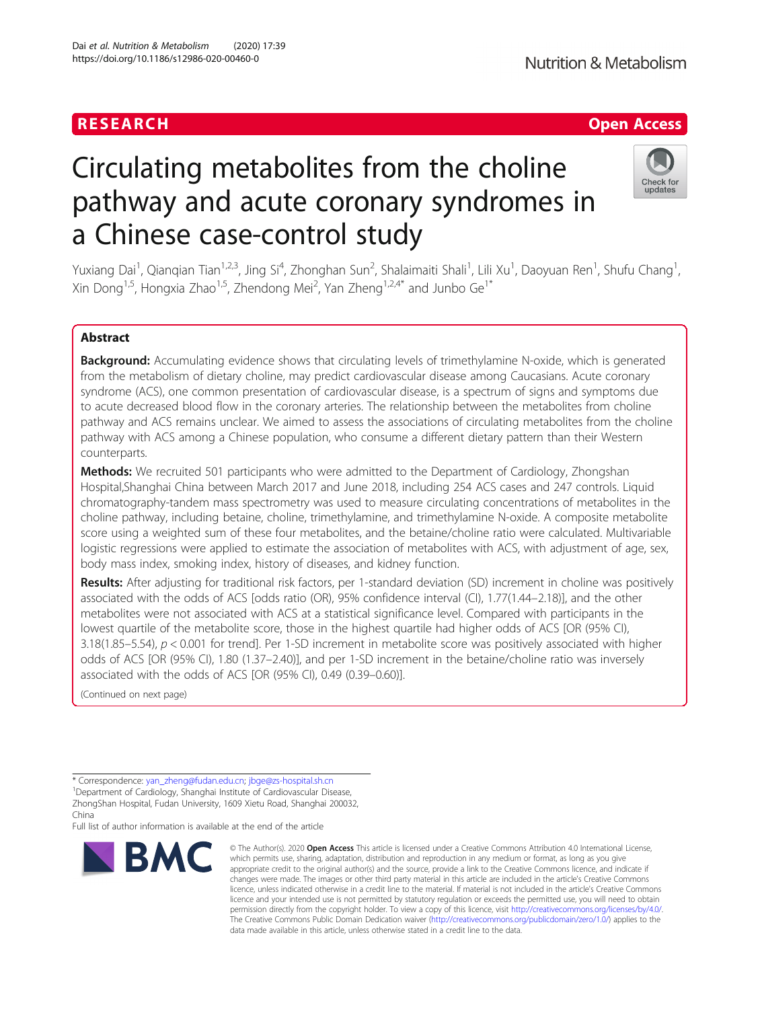# RESEARCH **RESEARCH CHANNEL EXECUTE ACCESS**

# Circulating metabolites from the choline pathway and acute coronary syndromes in a Chinese case-control study

Yuxiang Dai<sup>1</sup>, Qianqian Tian<sup>1,2,3</sup>, Jing Si<sup>4</sup>, Zhonghan Sun<sup>2</sup>, Shalaimaiti Shali<sup>1</sup>, Lili Xu<sup>1</sup>, Daoyuan Ren<sup>1</sup>, Shufu Chang<sup>1</sup> , Xin Dong<sup>1,5</sup>, Hongxia Zhao<sup>1,5</sup>, Zhendong Mei<sup>2</sup>, Yan Zheng<sup>1,2,4\*</sup> and Junbo Ge<sup>1\*</sup>

# Abstract

Background: Accumulating evidence shows that circulating levels of trimethylamine N-oxide, which is generated from the metabolism of dietary choline, may predict cardiovascular disease among Caucasians. Acute coronary syndrome (ACS), one common presentation of cardiovascular disease, is a spectrum of signs and symptoms due to acute decreased blood flow in the coronary arteries. The relationship between the metabolites from choline pathway and ACS remains unclear. We aimed to assess the associations of circulating metabolites from the choline pathway with ACS among a Chinese population, who consume a different dietary pattern than their Western counterparts.

Methods: We recruited 501 participants who were admitted to the Department of Cardiology, Zhongshan Hospital,Shanghai China between March 2017 and June 2018, including 254 ACS cases and 247 controls. Liquid chromatography-tandem mass spectrometry was used to measure circulating concentrations of metabolites in the choline pathway, including betaine, choline, trimethylamine, and trimethylamine N-oxide. A composite metabolite score using a weighted sum of these four metabolites, and the betaine/choline ratio were calculated. Multivariable logistic regressions were applied to estimate the association of metabolites with ACS, with adjustment of age, sex, body mass index, smoking index, history of diseases, and kidney function.

Results: After adjusting for traditional risk factors, per 1-standard deviation (SD) increment in choline was positively associated with the odds of ACS [odds ratio (OR), 95% confidence interval (CI), 1.77(1.44–2.18)], and the other metabolites were not associated with ACS at a statistical significance level. Compared with participants in the lowest quartile of the metabolite score, those in the highest quartile had higher odds of ACS [OR (95% CI), 3.18(1.85–5.54),  $p < 0.001$  for trend]. Per 1-SD increment in metabolite score was positively associated with higher odds of ACS [OR (95% CI), 1.80 (1.37–2.40)], and per 1-SD increment in the betaine/choline ratio was inversely associated with the odds of ACS [OR (95% CI), 0.49 (0.39–0.60)].

data made available in this article, unless otherwise stated in a credit line to the data.

(Continued on next page)

<sup>1</sup>Department of Cardiology, Shanghai Institute of Cardiovascular Disease, ZhongShan Hospital, Fudan University, 1609 Xietu Road, Shanghai 200032,

Full list of author information is available at the end of the article

© The Author(s), 2020 **Open Access** This article is licensed under a Creative Commons Attribution 4.0 International License, which permits use, sharing, adaptation, distribution and reproduction in any medium or format, as long as you give appropriate credit to the original author(s) and the source, provide a link to the Creative Commons licence, and indicate if changes were made. The images or other third party material in this article are included in the article's Creative Commons licence, unless indicated otherwise in a credit line to the material. If material is not included in the article's Creative Commons licence and your intended use is not permitted by statutory regulation or exceeds the permitted use, you will need to obtain permission directly from the copyright holder. To view a copy of this licence, visit [http://creativecommons.org/licenses/by/4.0/.](http://creativecommons.org/licenses/by/4.0/) The Creative Commons Public Domain Dedication waiver [\(http://creativecommons.org/publicdomain/zero/1.0/](http://creativecommons.org/publicdomain/zero/1.0/)) applies to the



<sup>\*</sup> Correspondence: [yan\\_zheng@fudan.edu.cn;](mailto:yan_zheng@fudan.edu.cn) [jbge@zs-hospital.sh.cn](mailto:jbge@zs-hospital.sh.cn) <sup>1</sup>

China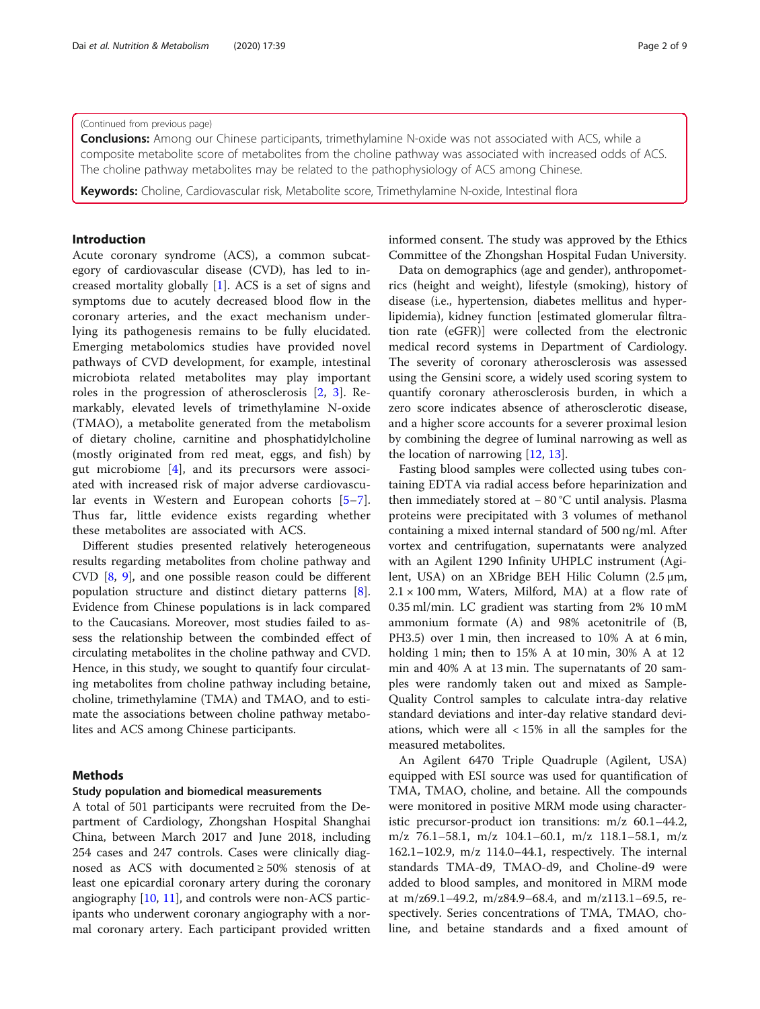#### (Continued from previous page)

**Conclusions:** Among our Chinese participants, trimethylamine N-oxide was not associated with ACS, while a composite metabolite score of metabolites from the choline pathway was associated with increased odds of ACS. The choline pathway metabolites may be related to the pathophysiology of ACS among Chinese.

Keywords: Choline, Cardiovascular risk, Metabolite score, Trimethylamine N-oxide, Intestinal flora

# Introduction

Acute coronary syndrome (ACS), a common subcategory of cardiovascular disease (CVD), has led to increased mortality globally [\[1\]](#page-7-0). ACS is a set of signs and symptoms due to acutely decreased blood flow in the coronary arteries, and the exact mechanism underlying its pathogenesis remains to be fully elucidated. Emerging metabolomics studies have provided novel pathways of CVD development, for example, intestinal microbiota related metabolites may play important roles in the progression of atherosclerosis [[2,](#page-7-0) [3\]](#page-7-0). Remarkably, elevated levels of trimethylamine N-oxide (TMAO), a metabolite generated from the metabolism of dietary choline, carnitine and phosphatidylcholine (mostly originated from red meat, eggs, and fish) by gut microbiome [[4\]](#page-7-0), and its precursors were associated with increased risk of major adverse cardiovascular events in Western and European cohorts [\[5](#page-7-0)–[7](#page-7-0)]. Thus far, little evidence exists regarding whether these metabolites are associated with ACS.

Different studies presented relatively heterogeneous results regarding metabolites from choline pathway and CVD [[8](#page-7-0), [9\]](#page-7-0), and one possible reason could be different population structure and distinct dietary patterns [\[8](#page-7-0)]. Evidence from Chinese populations is in lack compared to the Caucasians. Moreover, most studies failed to assess the relationship between the combinded effect of circulating metabolites in the choline pathway and CVD. Hence, in this study, we sought to quantify four circulating metabolites from choline pathway including betaine, choline, trimethylamine (TMA) and TMAO, and to estimate the associations between choline pathway metabolites and ACS among Chinese participants.

#### Methods

#### Study population and biomedical measurements

A total of 501 participants were recruited from the Department of Cardiology, Zhongshan Hospital Shanghai China, between March 2017 and June 2018, including 254 cases and 247 controls. Cases were clinically diagnosed as ACS with documented ≥ 50% stenosis of at least one epicardial coronary artery during the coronary angiography [[10,](#page-7-0) [11\]](#page-7-0), and controls were non-ACS participants who underwent coronary angiography with a normal coronary artery. Each participant provided written informed consent. The study was approved by the Ethics Committee of the Zhongshan Hospital Fudan University.

Data on demographics (age and gender), anthropometrics (height and weight), lifestyle (smoking), history of disease (i.e., hypertension, diabetes mellitus and hyperlipidemia), kidney function [estimated glomerular filtration rate (eGFR)] were collected from the electronic medical record systems in Department of Cardiology. The severity of coronary atherosclerosis was assessed using the Gensini score, a widely used scoring system to quantify coronary atherosclerosis burden, in which a zero score indicates absence of atherosclerotic disease, and a higher score accounts for a severer proximal lesion by combining the degree of luminal narrowing as well as the location of narrowing  $[12, 13]$  $[12, 13]$  $[12, 13]$ .

Fasting blood samples were collected using tubes containing EDTA via radial access before heparinization and then immediately stored at − 80 °C until analysis. Plasma proteins were precipitated with 3 volumes of methanol containing a mixed internal standard of 500 ng/ml. After vortex and centrifugation, supernatants were analyzed with an Agilent 1290 Infinity UHPLC instrument (Agilent, USA) on an XBridge BEH Hilic Column (2.5 μm,  $2.1 \times 100$  mm, Waters, Milford, MA) at a flow rate of 0.35 ml/min. LC gradient was starting from 2% 10 mM ammonium formate (A) and 98% acetonitrile of (B, PH3.5) over 1 min, then increased to 10% A at 6 min, holding 1 min; then to 15% A at 10 min, 30% A at 12 min and 40% A at 13 min. The supernatants of 20 samples were randomly taken out and mixed as Sample-Quality Control samples to calculate intra-day relative standard deviations and inter-day relative standard deviations, which were all < 15% in all the samples for the measured metabolites.

An Agilent 6470 Triple Quadruple (Agilent, USA) equipped with ESI source was used for quantification of TMA, TMAO, choline, and betaine. All the compounds were monitored in positive MRM mode using characteristic precursor-product ion transitions: m/z 60.1–44.2, m/z 76.1–58.1, m/z 104.1–60.1, m/z 118.1–58.1, m/z 162.1–102.9, m/z 114.0–44.1, respectively. The internal standards TMA-d9, TMAO-d9, and Choline-d9 were added to blood samples, and monitored in MRM mode at m/z69.1–49.2, m/z84.9–68.4, and m/z113.1–69.5, respectively. Series concentrations of TMA, TMAO, choline, and betaine standards and a fixed amount of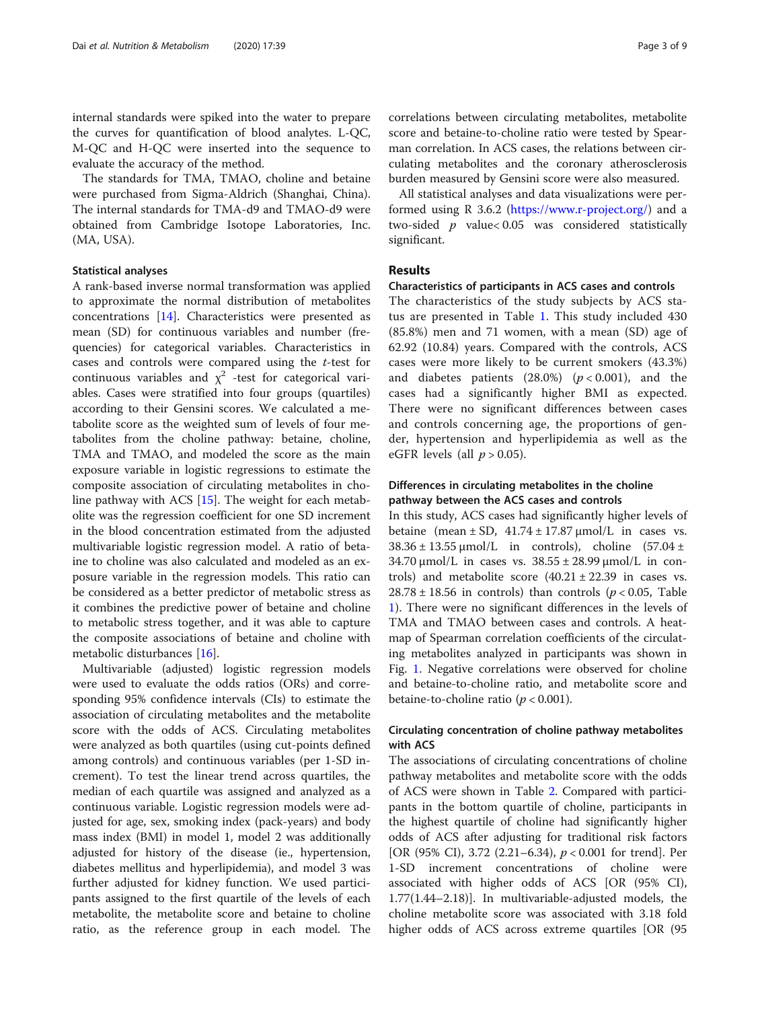internal standards were spiked into the water to prepare the curves for quantification of blood analytes. L-QC, M-QC and H-QC were inserted into the sequence to evaluate the accuracy of the method.

The standards for TMA, TMAO, choline and betaine were purchased from Sigma-Aldrich (Shanghai, China). The internal standards for TMA-d9 and TMAO-d9 were obtained from Cambridge Isotope Laboratories, Inc. (MA, USA).

#### Statistical analyses

A rank-based inverse normal transformation was applied to approximate the normal distribution of metabolites concentrations [[14\]](#page-7-0). Characteristics were presented as mean (SD) for continuous variables and number (frequencies) for categorical variables. Characteristics in cases and controls were compared using the t-test for continuous variables and  $\chi^2$  -test for categorical variables. Cases were stratified into four groups (quartiles) according to their Gensini scores. We calculated a metabolite score as the weighted sum of levels of four metabolites from the choline pathway: betaine, choline, TMA and TMAO, and modeled the score as the main exposure variable in logistic regressions to estimate the composite association of circulating metabolites in choline pathway with ACS [[15](#page-7-0)]. The weight for each metabolite was the regression coefficient for one SD increment in the blood concentration estimated from the adjusted multivariable logistic regression model. A ratio of betaine to choline was also calculated and modeled as an exposure variable in the regression models. This ratio can be considered as a better predictor of metabolic stress as it combines the predictive power of betaine and choline to metabolic stress together, and it was able to capture the composite associations of betaine and choline with metabolic disturbances [[16\]](#page-7-0).

Multivariable (adjusted) logistic regression models were used to evaluate the odds ratios (ORs) and corresponding 95% confidence intervals (CIs) to estimate the association of circulating metabolites and the metabolite score with the odds of ACS. Circulating metabolites were analyzed as both quartiles (using cut-points defined among controls) and continuous variables (per 1-SD increment). To test the linear trend across quartiles, the median of each quartile was assigned and analyzed as a continuous variable. Logistic regression models were adjusted for age, sex, smoking index (pack-years) and body mass index (BMI) in model 1, model 2 was additionally adjusted for history of the disease (ie., hypertension, diabetes mellitus and hyperlipidemia), and model 3 was further adjusted for kidney function. We used participants assigned to the first quartile of the levels of each metabolite, the metabolite score and betaine to choline ratio, as the reference group in each model. The correlations between circulating metabolites, metabolite score and betaine-to-choline ratio were tested by Spearman correlation. In ACS cases, the relations between circulating metabolites and the coronary atherosclerosis burden measured by Gensini score were also measured.

All statistical analyses and data visualizations were performed using R 3.6.2 [\(https://www.r-project.org/\)](https://www.r-project.org/) and a two-sided  $p$  value< 0.05 was considered statistically significant.

# Results

#### Characteristics of participants in ACS cases and controls

The characteristics of the study subjects by ACS status are presented in Table [1](#page-3-0). This study included 430 (85.8%) men and 71 women, with a mean (SD) age of 62.92 (10.84) years. Compared with the controls, ACS cases were more likely to be current smokers (43.3%) and diabetes patients  $(28.0%)$   $(p < 0.001)$ , and the cases had a significantly higher BMI as expected. There were no significant differences between cases and controls concerning age, the proportions of gender, hypertension and hyperlipidemia as well as the eGFR levels (all  $p > 0.05$ ).

# Differences in circulating metabolites in the choline pathway between the ACS cases and controls

In this study, ACS cases had significantly higher levels of betaine (mean  $\pm$  SD,  $41.74 \pm 17.87 \mu$ mol/L in cases vs.  $38.36 \pm 13.55 \mu$ mol/L in controls), choline (57.04 ± 34.70  $\mu$ mol/L in cases vs. 38.55  $\pm$  28.99  $\mu$ mol/L in controls) and metabolite score  $(40.21 \pm 22.39)$  in cases vs.  $28.78 \pm 18.56$  in controls) than controls ( $p < 0.05$ , Table [1\)](#page-3-0). There were no significant differences in the levels of TMA and TMAO between cases and controls. A heatmap of Spearman correlation coefficients of the circulating metabolites analyzed in participants was shown in Fig. [1.](#page-3-0) Negative correlations were observed for choline and betaine-to-choline ratio, and metabolite score and betaine-to-choline ratio ( $p < 0.001$ ).

# Circulating concentration of choline pathway metabolites with ACS

The associations of circulating concentrations of choline pathway metabolites and metabolite score with the odds of ACS were shown in Table [2](#page-4-0). Compared with participants in the bottom quartile of choline, participants in the highest quartile of choline had significantly higher odds of ACS after adjusting for traditional risk factors [OR (95% CI), 3.72 (2.21–6.34),  $p < 0.001$  for trend]. Per 1-SD increment concentrations of choline were associated with higher odds of ACS [OR (95% CI), 1.77(1.44–2.18)]. In multivariable-adjusted models, the choline metabolite score was associated with 3.18 fold higher odds of ACS across extreme quartiles [OR (95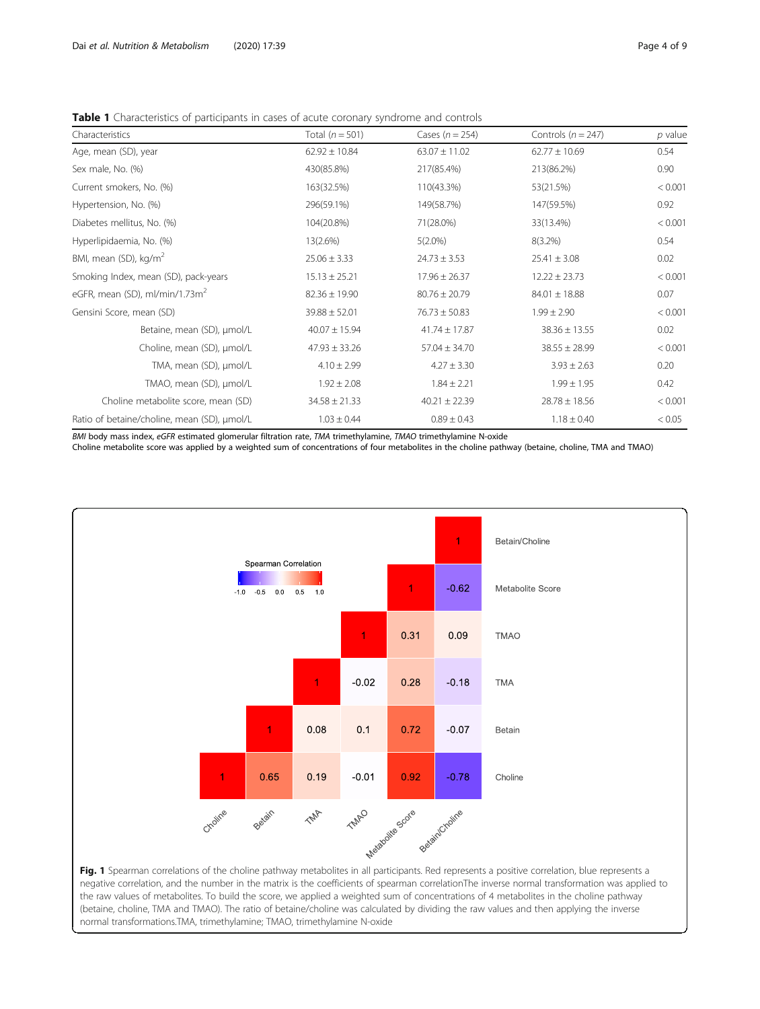<span id="page-3-0"></span>Table 1 Characteristics of participants in cases of acute coronary syndrome and controls

| Characteristics                             | Total $(n = 501)$ | Cases $(n = 254)$ | Controls ( $n = 247$ ) | $p$ value |
|---------------------------------------------|-------------------|-------------------|------------------------|-----------|
| Age, mean (SD), year                        | $62.92 \pm 10.84$ | $63.07 \pm 11.02$ | $62.77 \pm 10.69$      | 0.54      |
| Sex male, No. (%)                           | 430(85.8%)        | 217(85.4%)        | 213(86.2%)             | 0.90      |
| Current smokers, No. (%)                    | 163(32.5%)        | 110(43.3%)        | 53(21.5%)              | < 0.001   |
| Hypertension, No. (%)                       | 296(59.1%)        | 149(58.7%)        | 147(59.5%)             | 0.92      |
| Diabetes mellitus, No. (%)                  | 104(20.8%)        | 71(28.0%)         | 33(13.4%)              | < 0.001   |
| Hyperlipidaemia, No. (%)                    | 13(2.6%)          | $5(2.0\%)$        | $8(3.2\%)$             | 0.54      |
| BMI, mean (SD), kg/m <sup>2</sup>           | $25.06 \pm 3.33$  | $24.73 \pm 3.53$  | $25.41 \pm 3.08$       | 0.02      |
| Smoking Index, mean (SD), pack-years        | $15.13 \pm 25.21$ | $17.96 \pm 26.37$ | $12.22 \pm 23.73$      | < 0.001   |
| eGFR, mean (SD), ml/min/1.73m <sup>2</sup>  | $82.36 \pm 19.90$ | $80.76 \pm 20.79$ | $84.01 \pm 18.88$      | 0.07      |
| Gensini Score, mean (SD)                    | $39.88 \pm 52.01$ | $76.73 \pm 50.83$ | $1.99 \pm 2.90$        | < 0.001   |
| Betaine, mean (SD), µmol/L                  | $40.07 \pm 15.94$ | $41.74 \pm 17.87$ | $38.36 \pm 13.55$      | 0.02      |
| Choline, mean (SD), µmol/L                  | $47.93 \pm 33.26$ | $57.04 \pm 34.70$ | $38.55 \pm 28.99$      | < 0.001   |
| TMA, mean (SD), µmol/L                      | $4.10 \pm 2.99$   | $4.27 \pm 3.30$   | $3.93 \pm 2.63$        | 0.20      |
| TMAO, mean (SD), µmol/L                     | $1.92 \pm 2.08$   | $1.84 \pm 2.21$   | $1.99 \pm 1.95$        | 0.42      |
| Choline metabolite score, mean (SD)         | $34.58 \pm 21.33$ | $40.21 \pm 22.39$ | $28.78 \pm 18.56$      | < 0.001   |
| Ratio of betaine/choline, mean (SD), µmol/L | $1.03 \pm 0.44$   | $0.89 \pm 0.43$   | $1.18 \pm 0.40$        | < 0.05    |

BMI body mass index, eGFR estimated glomerular filtration rate, TMA trimethylamine, TMAO trimethylamine N-oxide Choline metabolite score was applied by a weighted sum of concentrations of four metabolites in the choline pathway (betaine, choline, TMA and TMAO)



negative correlation, and the number in the matrix is the coefficients of spearman correlationThe inverse normal transformation was applied to the raw values of metabolites. To build the score, we applied a weighted sum of concentrations of 4 metabolites in the choline pathway (betaine, choline, TMA and TMAO). The ratio of betaine/choline was calculated by dividing the raw values and then applying the inverse normal transformations.TMA, trimethylamine; TMAO, trimethylamine N-oxide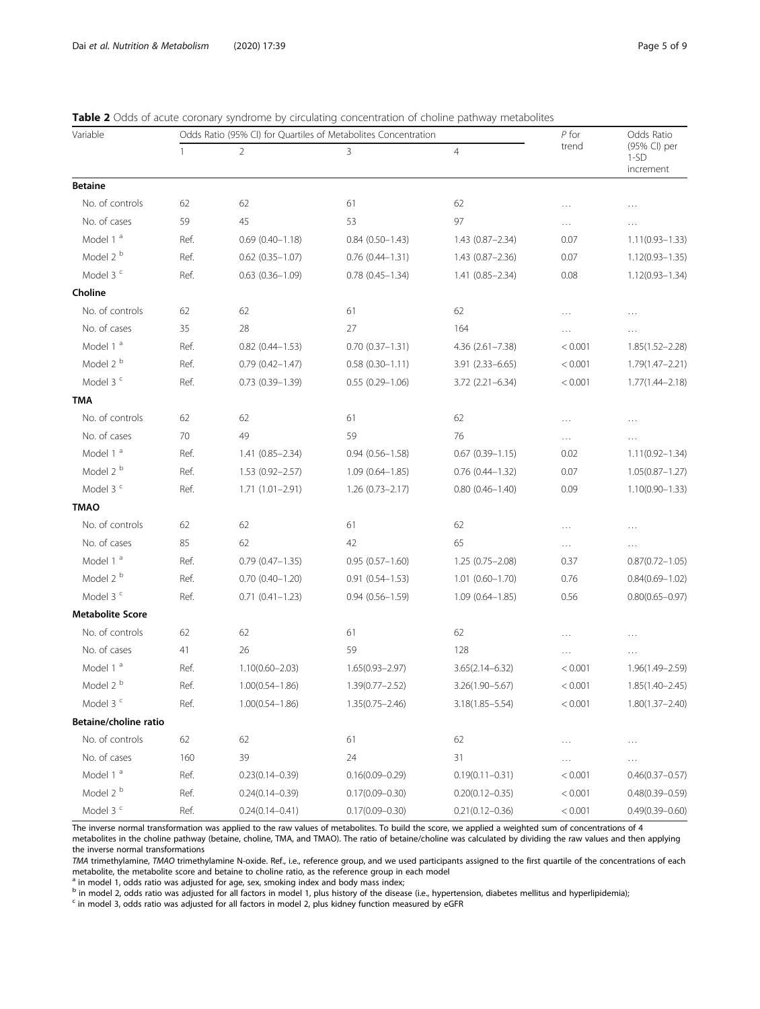| Variable                |      | Odds Ratio (95% CI) for Quartiles of Metabolites Concentration |                        |                        |          | Odds Ratio                          |
|-------------------------|------|----------------------------------------------------------------|------------------------|------------------------|----------|-------------------------------------|
|                         |      | $\overline{2}$                                                 | 3                      | $\overline{4}$         | trend    | (95% CI) per<br>$1-SD$<br>increment |
| <b>Betaine</b>          |      |                                                                |                        |                        |          |                                     |
| No. of controls         | 62   | 62                                                             | 61                     | 62                     | .        | .                                   |
| No. of cases            | 59   | 45                                                             | 53                     | 97                     | .        | $\cdots$                            |
| Model 1 <sup>a</sup>    | Ref. | $0.69(0.40 - 1.18)$                                            | $0.84(0.50-1.43)$      | $1.43(0.87 - 2.34)$    | 0.07     | $1.11(0.93 - 1.33)$                 |
| Model 2 <sup>b</sup>    | Ref. | $0.62$ $(0.35 - 1.07)$                                         | $0.76(0.44 - 1.31)$    | 1.43 (0.87-2.36)       | 0.07     | $1.12(0.93 - 1.35)$                 |
| Model 3 <sup>c</sup>    | Ref. | $0.63$ $(0.36 - 1.09)$                                         | $0.78$ $(0.45 - 1.34)$ | 1.41 (0.85-2.34)       | 0.08     | $1.12(0.93 - 1.34)$                 |
| Choline                 |      |                                                                |                        |                        |          |                                     |
| No. of controls         | 62   | 62                                                             | 61                     | 62                     | .        |                                     |
| No. of cases            | 35   | 28                                                             | 27                     | 164                    | .        | $\cdots$                            |
| Model 1 <sup>a</sup>    | Ref. | $0.82$ $(0.44 - 1.53)$                                         | $0.70(0.37 - 1.31)$    | 4.36 (2.61-7.38)       | < 0.001  | $1.85(1.52 - 2.28)$                 |
| Model 2 <sup>b</sup>    | Ref. | $0.79(0.42 - 1.47)$                                            | $0.58(0.30 - 1.11)$    | 3.91 (2.33-6.65)       | < 0.001  | $1.79(1.47 - 2.21)$                 |
| Model 3 <sup>c</sup>    | Ref. | $0.73$ $(0.39 - 1.39)$                                         | $0.55(0.29 - 1.06)$    | $3.72$ (2.21-6.34)     | < 0.001  | $1.77(1.44 - 2.18)$                 |
| TMA                     |      |                                                                |                        |                        |          |                                     |
| No. of controls         | 62   | 62                                                             | 61                     | 62                     | .        |                                     |
| No. of cases            | 70   | 49                                                             | 59                     | 76                     | $\cdots$ | $\cdots$                            |
| Model 1 <sup>a</sup>    | Ref. | $1.41(0.85 - 2.34)$                                            | $0.94(0.56 - 1.58)$    | $0.67$ $(0.39 - 1.15)$ | 0.02     | $1.11(0.92 - 1.34)$                 |
| Model 2 <sup>b</sup>    | Ref. | $1.53(0.92 - 2.57)$                                            | $1.09(0.64 - 1.85)$    | $0.76$ $(0.44 - 1.32)$ | 0.07     | $1.05(0.87 - 1.27)$                 |
| Model 3 <sup>c</sup>    | Ref. | $1.71(1.01 - 2.91)$                                            | $1.26(0.73 - 2.17)$    | $0.80(0.46 - 1.40)$    | 0.09     | $1.10(0.90 - 1.33)$                 |
| <b>TMAO</b>             |      |                                                                |                        |                        |          |                                     |
| No. of controls         | 62   | 62                                                             | 61                     | 62                     | .        |                                     |
| No. of cases            | 85   | 62                                                             | 42                     | 65                     | $\cdots$ | $\cdots$                            |
| Model 1 <sup>a</sup>    | Ref. | $0.79$ $(0.47 - 1.35)$                                         | $0.95(0.57 - 1.60)$    | $1.25(0.75 - 2.08)$    | 0.37     | $0.87(0.72 - 1.05)$                 |
| Model 2 <sup>b</sup>    | Ref. | $0.70(0.40 - 1.20)$                                            | $0.91(0.54 - 1.53)$    | $1.01$ $(0.60 - 1.70)$ | 0.76     | $0.84(0.69 - 1.02)$                 |
| Model 3 <sup>c</sup>    | Ref. | $0.71(0.41 - 1.23)$                                            | $0.94(0.56 - 1.59)$    | $1.09(0.64 - 1.85)$    | 0.56     | $0.80(0.65 - 0.97)$                 |
| <b>Metabolite Score</b> |      |                                                                |                        |                        |          |                                     |
| No. of controls         | 62   | 62                                                             | 61                     | 62                     |          |                                     |
| No. of cases            | 41   | 26                                                             | 59                     | 128                    | .        | $\cdots$                            |
| Model 1 <sup>a</sup>    | Ref. | $1.10(0.60 - 2.03)$                                            | $1.65(0.93 - 2.97)$    | $3.65(2.14 - 6.32)$    | < 0.001  | 1.96(1.49-2.59)                     |
| Model 2 <sup>b</sup>    | Ref. | $1.00(0.54 - 1.86)$                                            | $1.39(0.77 - 2.52)$    | 3.26(1.90-5.67)        | < 0.001  | $1.85(1.40 - 2.45)$                 |
| Model 3 <sup>c</sup>    | Ref. | $1.00(0.54 - 1.86)$                                            | 1.35(0.75-2.46)        | 3.18(1.85-5.54)        | < 0.001  | $1.80(1.37 - 2.40)$                 |
| Betaine/choline ratio   |      |                                                                |                        |                        |          |                                     |
| No. of controls         | 62   | 62                                                             | 61                     | 62                     |          | $\cdots$                            |
| No. of cases            | 160  | 39                                                             | 24                     | 31                     |          |                                     |
| Model 1 <sup>a</sup>    | Ref. | $0.23(0.14 - 0.39)$                                            | $0.16(0.09 - 0.29)$    | $0.19(0.11 - 0.31)$    | < 0.001  | $0.46(0.37 - 0.57)$                 |
| Model 2 <sup>b</sup>    | Ref. | $0.24(0.14 - 0.39)$                                            | $0.17(0.09 - 0.30)$    | $0.20(0.12 - 0.35)$    | < 0.001  | $0.48(0.39 - 0.59)$                 |
| Model 3 <sup>c</sup>    | Ref. | $0.24(0.14 - 0.41)$                                            | $0.17(0.09 - 0.30)$    | $0.21(0.12 - 0.36)$    | < 0.001  | $0.49(0.39 - 0.60)$                 |

<span id="page-4-0"></span>Table 2 Odds of acute coronary syndrome by circulating concentration of choline pathway metabolites

The inverse normal transformation was applied to the raw values of metabolites. To build the score, we applied a weighted sum of concentrations of 4 metabolites in the choline pathway (betaine, choline, TMA, and TMAO). The ratio of betaine/choline was calculated by dividing the raw values and then applying the inverse normal transformations

TMA trimethylamine, TMAO trimethylamine N-oxide. Ref., i.e., reference group, and we used participants assigned to the first quartile of the concentrations of each metabolite, the metabolite score and betaine to choline ratio, as the reference group in each model

 $\frac{a}{b}$  in model 1, odds ratio was adjusted for age, sex, smoking index and body mass index;

b in model 2, odds ratio was adjusted for all factors in model 1, plus history of the disease (i.e., hypertension, diabetes mellitus and hyperlipidemia);<br><sup>c</sup> in model 3, odds ratio was adjusted for all factors in model 2,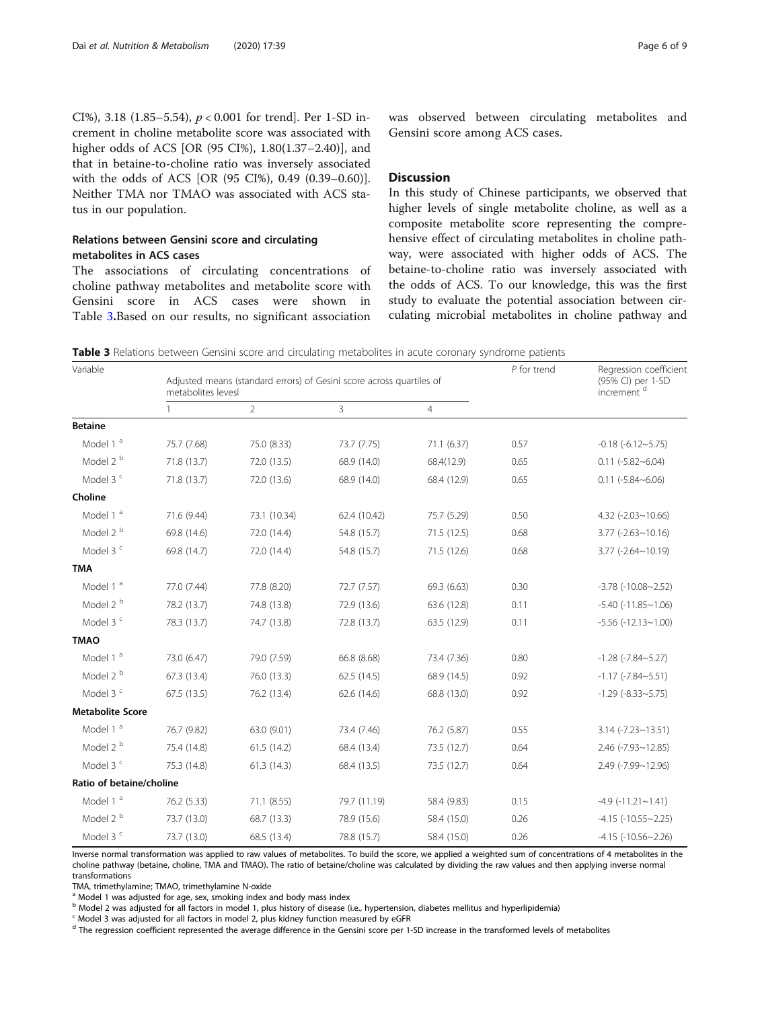CI%), 3.18 (1.85–5.54),  $p < 0.001$  for trend]. Per 1-SD increment in choline metabolite score was associated with higher odds of ACS [OR (95 CI%), 1.80(1.37–2.40)], and that in betaine-to-choline ratio was inversely associated with the odds of ACS [OR (95 CI%), 0.49 (0.39–0.60)]. Neither TMA nor TMAO was associated with ACS status in our population.

# Relations between Gensini score and circulating metabolites in ACS cases

The associations of circulating concentrations of choline pathway metabolites and metabolite score with Gensini score in ACS cases were shown in Table 3.Based on our results, no significant association was observed between circulating metabolites and Gensini score among ACS cases.

#### **Discussion**

In this study of Chinese participants, we observed that higher levels of single metabolite choline, as well as a composite metabolite score representing the comprehensive effect of circulating metabolites in choline pathway, were associated with higher odds of ACS. The betaine-to-choline ratio was inversely associated with the odds of ACS. To our knowledge, this was the first study to evaluate the potential association between circulating microbial metabolites in choline pathway and

Table 3 Relations between Gensini score and circulating metabolites in acute coronary syndrome patients

| Variable                 |             | Adjusted means (standard errors) of Gesini score across quartiles of<br>metabolites levesl |              |                |      | Regression coefficient<br>(95% CI) per 1-SD<br>increment <sup>d</sup> |
|--------------------------|-------------|--------------------------------------------------------------------------------------------|--------------|----------------|------|-----------------------------------------------------------------------|
|                          | 1           | $\overline{2}$                                                                             | 3            | $\overline{4}$ |      |                                                                       |
| <b>Betaine</b>           |             |                                                                                            |              |                |      |                                                                       |
| Model 1 <sup>a</sup>     | 75.7 (7.68) | 75.0 (8.33)                                                                                | 73.7 (7.75)  | 71.1 (6.37)    | 0.57 | $-0.18$ $(-6.12 - 5.75)$                                              |
| Model 2 <sup>b</sup>     | 71.8 (13.7) | 72.0 (13.5)                                                                                | 68.9 (14.0)  | 68.4(12.9)     | 0.65 | $0.11$ ( $-5.82$ $\sim$ 6.04)                                         |
| Model 3 <sup>c</sup>     | 71.8 (13.7) | 72.0 (13.6)                                                                                | 68.9 (14.0)  | 68.4 (12.9)    | 0.65 | $0.11 (-5.84 - 6.06)$                                                 |
| Choline                  |             |                                                                                            |              |                |      |                                                                       |
| Model 1 <sup>a</sup>     | 71.6 (9.44) | 73.1 (10.34)                                                                               | 62.4 (10.42) | 75.7 (5.29)    | 0.50 | $4.32$ ( $-2.03 \sim 10.66$ )                                         |
| Model 2 <sup>b</sup>     | 69.8 (14.6) | 72.0 (14.4)                                                                                | 54.8 (15.7)  | 71.5 (12.5)    | 0.68 | $3.77$ (-2.63~10.16)                                                  |
| Model 3 <sup>c</sup>     | 69.8 (14.7) | 72.0 (14.4)                                                                                | 54.8 (15.7)  | 71.5 (12.6)    | 0.68 | $3.77$ (-2.64~10.19)                                                  |
| <b>TMA</b>               |             |                                                                                            |              |                |      |                                                                       |
| Model 1 <sup>a</sup>     | 77.0 (7.44) | 77.8 (8.20)                                                                                | 72.7 (7.57)  | 69.3 (6.63)    | 0.30 | $-3.78$ $(-10.08 - 2.52)$                                             |
| Model 2 <sup>b</sup>     | 78.2 (13.7) | 74.8 (13.8)                                                                                | 72.9 (13.6)  | 63.6 (12.8)    | 0.11 | $-5.40$ $(-11.85 - 1.06)$                                             |
| Model 3 <sup>c</sup>     | 78.3 (13.7) | 74.7 (13.8)                                                                                | 72.8 (13.7)  | 63.5 (12.9)    | 0.11 | $-5.56$ $(-12.13 - 1.00)$                                             |
| <b>TMAO</b>              |             |                                                                                            |              |                |      |                                                                       |
| Model 1 <sup>a</sup>     | 73.0 (6.47) | 79.0 (7.59)                                                                                | 66.8 (8.68)  | 73.4 (7.36)    | 0.80 | $-1.28$ ( $-7.84 - 5.27$ )                                            |
| Model 2 <sup>b</sup>     | 67.3 (13.4) | 76.0 (13.3)                                                                                | 62.5(14.5)   | 68.9 (14.5)    | 0.92 | $-1.17$ ( $-7.84 - 5.51$ )                                            |
| Model 3 <sup>c</sup>     | 67.5 (13.5) | 76.2 (13.4)                                                                                | 62.6 (14.6)  | 68.8 (13.0)    | 0.92 | $-1.29$ ( $-8.33 - 5.75$ )                                            |
| <b>Metabolite Score</b>  |             |                                                                                            |              |                |      |                                                                       |
| Model 1 <sup>a</sup>     | 76.7 (9.82) | 63.0 (9.01)                                                                                | 73.4 (7.46)  | 76.2 (5.87)    | 0.55 | $3.14$ (-7.23~13.51)                                                  |
| Model 2 <sup>b</sup>     | 75.4 (14.8) | 61.5(14.2)                                                                                 | 68.4 (13.4)  | 73.5 (12.7)    | 0.64 | $2.46$ ( $-7.93 \sim 12.85$ )                                         |
| Model 3 <sup>c</sup>     | 75.3 (14.8) | 61.3 (14.3)                                                                                | 68.4 (13.5)  | 73.5 (12.7)    | 0.64 | 2.49 (-7.99~12.96)                                                    |
| Ratio of betaine/choline |             |                                                                                            |              |                |      |                                                                       |
| Model 1 <sup>a</sup>     | 76.2 (5.33) | 71.1 (8.55)                                                                                | 79.7 (11.19) | 58.4 (9.83)    | 0.15 | $-4.9$ $(-11.21 - 1.41)$                                              |
| Model 2 <sup>b</sup>     | 73.7 (13.0) | 68.7 (13.3)                                                                                | 78.9 (15.6)  | 58.4 (15.0)    | 0.26 | $-4.15$ ( $-10.55 - 2.25$ )                                           |
| Model 3 <sup>c</sup>     | 73.7 (13.0) | 68.5 (13.4)                                                                                | 78.8 (15.7)  | 58.4 (15.0)    | 0.26 | $-4.15$ $(-10.56 - 2.26)$                                             |

Inverse normal transformation was applied to raw values of metabolites. To build the score, we applied a weighted sum of concentrations of 4 metabolites in the choline pathway (betaine, choline, TMA and TMAO). The ratio of betaine/choline was calculated by dividing the raw values and then applying inverse normal transformations

TMA, trimethylamine; TMAO, trimethylamine N-oxide

<sup>a</sup> Model 1 was adjusted for age, sex, smoking index and body mass index

<sup>b</sup> Model 2 was adjusted for all factors in model 1, plus history of disease (i.e., hypertension, diabetes mellitus and hyperlipidemia)

Model 3 was adjusted for all factors in model 2, plus kidney function measured by eGFR

<sup>d</sup> The regression coefficient represented the average difference in the Gensini score per 1-SD increase in the transformed levels of metabolites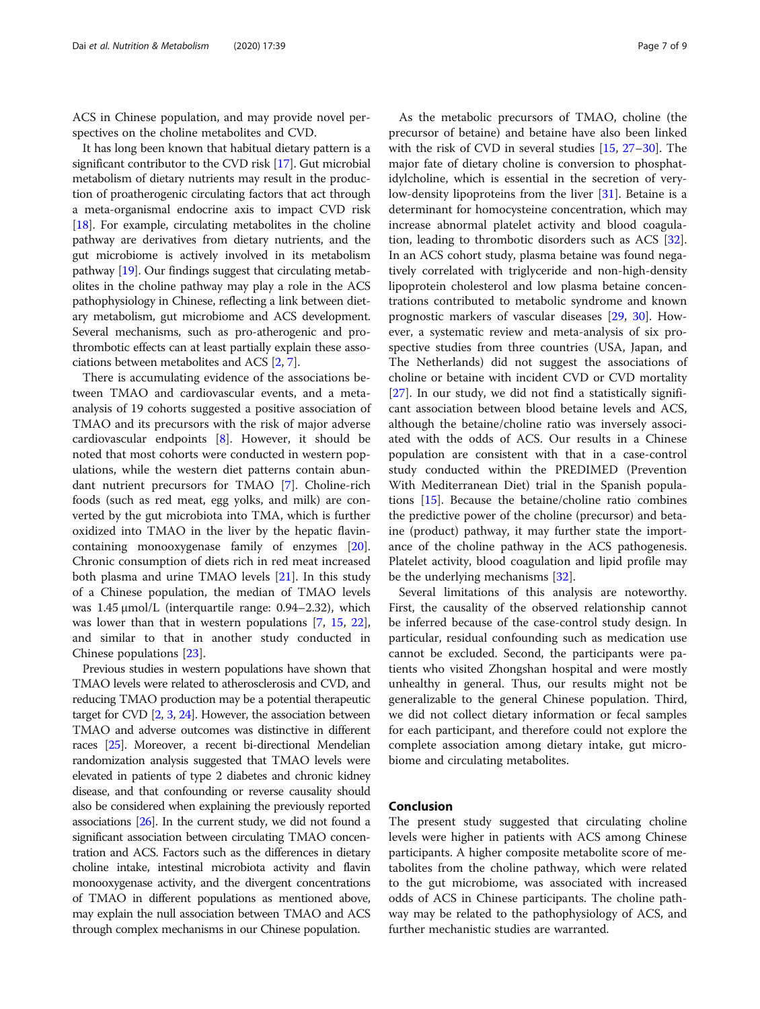ACS in Chinese population, and may provide novel perspectives on the choline metabolites and CVD.

It has long been known that habitual dietary pattern is a significant contributor to the CVD risk [\[17\]](#page-7-0). Gut microbial metabolism of dietary nutrients may result in the production of proatherogenic circulating factors that act through a meta-organismal endocrine axis to impact CVD risk [[18](#page-7-0)]. For example, circulating metabolites in the choline pathway are derivatives from dietary nutrients, and the gut microbiome is actively involved in its metabolism pathway [[19](#page-7-0)]. Our findings suggest that circulating metabolites in the choline pathway may play a role in the ACS pathophysiology in Chinese, reflecting a link between dietary metabolism, gut microbiome and ACS development. Several mechanisms, such as pro-atherogenic and prothrombotic effects can at least partially explain these associations between metabolites and ACS [[2,](#page-7-0) [7](#page-7-0)].

There is accumulating evidence of the associations between TMAO and cardiovascular events, and a metaanalysis of 19 cohorts suggested a positive association of TMAO and its precursors with the risk of major adverse cardiovascular endpoints [\[8\]](#page-7-0). However, it should be noted that most cohorts were conducted in western populations, while the western diet patterns contain abundant nutrient precursors for TMAO [\[7](#page-7-0)]. Choline-rich foods (such as red meat, egg yolks, and milk) are converted by the gut microbiota into TMA, which is further oxidized into TMAO in the liver by the hepatic flavincontaining monooxygenase family of enzymes [\[20](#page-7-0)]. Chronic consumption of diets rich in red meat increased both plasma and urine TMAO levels [[21](#page-7-0)]. In this study of a Chinese population, the median of TMAO levels was 1.45 μmol/L (interquartile range: 0.94–2.32), which was lower than that in western populations [\[7](#page-7-0), [15](#page-7-0), [22](#page-7-0)], and similar to that in another study conducted in Chinese populations [\[23\]](#page-7-0).

Previous studies in western populations have shown that TMAO levels were related to atherosclerosis and CVD, and reducing TMAO production may be a potential therapeutic target for CVD [\[2](#page-7-0), [3,](#page-7-0) [24\]](#page-8-0). However, the association between TMAO and adverse outcomes was distinctive in different races [\[25](#page-8-0)]. Moreover, a recent bi-directional Mendelian randomization analysis suggested that TMAO levels were elevated in patients of type 2 diabetes and chronic kidney disease, and that confounding or reverse causality should also be considered when explaining the previously reported associations [\[26\]](#page-8-0). In the current study, we did not found a significant association between circulating TMAO concentration and ACS. Factors such as the differences in dietary choline intake, intestinal microbiota activity and flavin monooxygenase activity, and the divergent concentrations of TMAO in different populations as mentioned above, may explain the null association between TMAO and ACS through complex mechanisms in our Chinese population.

As the metabolic precursors of TMAO, choline (the precursor of betaine) and betaine have also been linked with the risk of CVD in several studies [[15,](#page-7-0) [27](#page-8-0)–[30\]](#page-8-0). The major fate of dietary choline is conversion to phosphatidylcholine, which is essential in the secretion of verylow-density lipoproteins from the liver [[31\]](#page-8-0). Betaine is a determinant for homocysteine concentration, which may increase abnormal platelet activity and blood coagulation, leading to thrombotic disorders such as ACS [\[32](#page-8-0)]. In an ACS cohort study, plasma betaine was found negatively correlated with triglyceride and non-high-density lipoprotein cholesterol and low plasma betaine concentrations contributed to metabolic syndrome and known prognostic markers of vascular diseases [[29](#page-8-0), [30\]](#page-8-0). However, a systematic review and meta-analysis of six prospective studies from three countries (USA, Japan, and The Netherlands) did not suggest the associations of choline or betaine with incident CVD or CVD mortality [[27\]](#page-8-0). In our study, we did not find a statistically significant association between blood betaine levels and ACS, although the betaine/choline ratio was inversely associated with the odds of ACS. Our results in a Chinese population are consistent with that in a case-control study conducted within the PREDIMED (Prevention With Mediterranean Diet) trial in the Spanish populations [[15\]](#page-7-0). Because the betaine/choline ratio combines the predictive power of the choline (precursor) and betaine (product) pathway, it may further state the importance of the choline pathway in the ACS pathogenesis. Platelet activity, blood coagulation and lipid profile may be the underlying mechanisms [\[32\]](#page-8-0).

Several limitations of this analysis are noteworthy. First, the causality of the observed relationship cannot be inferred because of the case-control study design. In particular, residual confounding such as medication use cannot be excluded. Second, the participants were patients who visited Zhongshan hospital and were mostly unhealthy in general. Thus, our results might not be generalizable to the general Chinese population. Third, we did not collect dietary information or fecal samples for each participant, and therefore could not explore the complete association among dietary intake, gut microbiome and circulating metabolites.

# Conclusion

The present study suggested that circulating choline levels were higher in patients with ACS among Chinese participants. A higher composite metabolite score of metabolites from the choline pathway, which were related to the gut microbiome, was associated with increased odds of ACS in Chinese participants. The choline pathway may be related to the pathophysiology of ACS, and further mechanistic studies are warranted.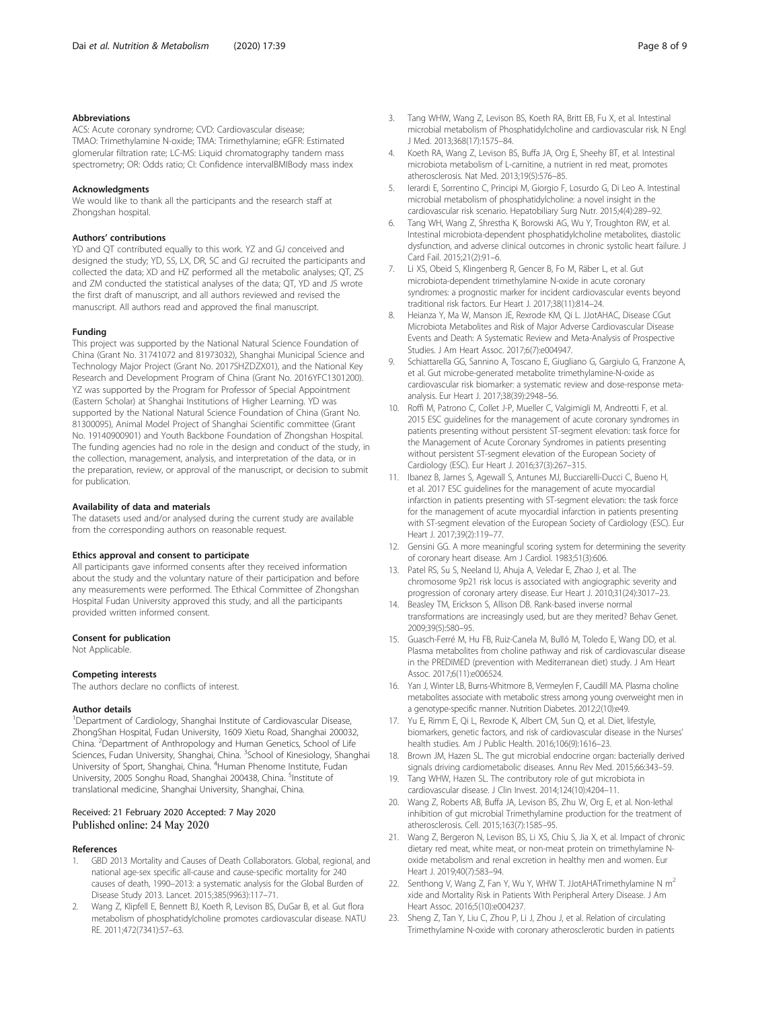#### <span id="page-7-0"></span>Abbreviations

ACS: Acute coronary syndrome; CVD: Cardiovascular disease; TMAO: Trimethylamine N-oxide; TMA: Trimethylamine; eGFR: Estimated glomerular filtration rate; LC-MS: Liquid chromatography tandem mass spectrometry; OR: Odds ratio; CI: Confidence intervalBMIBody mass index

#### Acknowledgments

We would like to thank all the participants and the research staff at Zhongshan hospital.

#### Authors' contributions

YD and QT contributed equally to this work. YZ and GJ conceived and designed the study; YD, SS, LX, DR, SC and GJ recruited the participants and collected the data; XD and HZ performed all the metabolic analyses; QT, ZS and ZM conducted the statistical analyses of the data; QT, YD and JS wrote the first draft of manuscript, and all authors reviewed and revised the manuscript. All authors read and approved the final manuscript.

#### Funding

This project was supported by the National Natural Science Foundation of China (Grant No. 31741072 and 81973032), Shanghai Municipal Science and Technology Major Project (Grant No. 2017SHZDZX01), and the National Key Research and Development Program of China (Grant No. 2016YFC1301200). YZ was supported by the Program for Professor of Special Appointment (Eastern Scholar) at Shanghai Institutions of Higher Learning. YD was supported by the National Natural Science Foundation of China (Grant No. 81300095), Animal Model Project of Shanghai Scientific committee (Grant No. 19140900901) and Youth Backbone Foundation of Zhongshan Hospital. The funding agencies had no role in the design and conduct of the study, in the collection, management, analysis, and interpretation of the data, or in the preparation, review, or approval of the manuscript, or decision to submit for publication.

#### Availability of data and materials

The datasets used and/or analysed during the current study are available from the corresponding authors on reasonable request.

#### Ethics approval and consent to participate

All participants gave informed consents after they received information about the study and the voluntary nature of their participation and before any measurements were performed. The Ethical Committee of Zhongshan Hospital Fudan University approved this study, and all the participants provided written informed consent.

#### Consent for publication

Not Applicable.

#### Competing interests

The authors declare no conflicts of interest.

#### Author details

<sup>1</sup>Department of Cardiology, Shanghai Institute of Cardiovascular Disease, ZhongShan Hospital, Fudan University, 1609 Xietu Road, Shanghai 200032, China. <sup>2</sup> Department of Anthropology and Human Genetics, School of Life Sciences, Fudan University, Shanghai, China. <sup>3</sup>School of Kinesiology, Shanghai University of Sport, Shanghai, China. <sup>4</sup>Human Phenome Institute, Fudan University, 2005 Songhu Road, Shanghai 200438, China. <sup>5</sup>Institute of translational medicine, Shanghai University, Shanghai, China.

#### Received: 21 February 2020 Accepted: 7 May 2020 Published online: 24 May 2020

#### References

- 1. GBD 2013 Mortality and Causes of Death Collaborators. Global, regional, and national age-sex specific all-cause and cause-specific mortality for 240 causes of death, 1990–2013: a systematic analysis for the Global Burden of Disease Study 2013. Lancet. 2015;385(9963):117–71.
- 2. Wang Z, Klipfell E, Bennett BJ, Koeth R, Levison BS, DuGar B, et al. Gut flora metabolism of phosphatidylcholine promotes cardiovascular disease. NATU RE. 2011;472(7341):57–63.
- Tang WHW, Wang Z, Levison BS, Koeth RA, Britt EB, Fu X, et al. Intestinal microbial metabolism of Phosphatidylcholine and cardiovascular risk. N Engl J Med. 2013;368(17):1575–84.
- 4. Koeth RA, Wang Z, Levison BS, Buffa JA, Org E, Sheehy BT, et al. Intestinal microbiota metabolism of L-carnitine, a nutrient in red meat, promotes atherosclerosis. Nat Med. 2013;19(5):576–85.
- 5. Ierardi E, Sorrentino C, Principi M, Giorgio F, Losurdo G, Di Leo A. Intestinal microbial metabolism of phosphatidylcholine: a novel insight in the cardiovascular risk scenario. Hepatobiliary Surg Nutr. 2015;4(4):289–92.
- 6. Tang WH, Wang Z, Shrestha K, Borowski AG, Wu Y, Troughton RW, et al. Intestinal microbiota-dependent phosphatidylcholine metabolites, diastolic dysfunction, and adverse clinical outcomes in chronic systolic heart failure. J Card Fail. 2015;21(2):91–6.
- 7. Li XS, Obeid S, Klingenberg R, Gencer B, Fo M, Räber L, et al. Gut microbiota-dependent trimethylamine N-oxide in acute coronary syndromes: a prognostic marker for incident cardiovascular events beyond traditional risk factors. Eur Heart J. 2017;38(11):814–24.
- 8. Heianza Y, Ma W, Manson JE, Rexrode KM, Qi L. JJotAHAC, Disease CGut Microbiota Metabolites and Risk of Major Adverse Cardiovascular Disease Events and Death: A Systematic Review and Meta-Analysis of Prospective Studies. J Am Heart Assoc. 2017;6(7):e004947.
- 9. Schiattarella GG, Sannino A, Toscano E, Giugliano G, Gargiulo G, Franzone A, et al. Gut microbe-generated metabolite trimethylamine-N-oxide as cardiovascular risk biomarker: a systematic review and dose-response metaanalysis. Eur Heart J. 2017;38(39):2948–56.
- 10. Roffi M, Patrono C, Collet J-P, Mueller C, Valgimigli M, Andreotti F, et al. 2015 ESC guidelines for the management of acute coronary syndromes in patients presenting without persistent ST-segment elevation: task force for the Management of Acute Coronary Syndromes in patients presenting without persistent ST-segment elevation of the European Society of Cardiology (ESC). Eur Heart J. 2016;37(3):267–315.
- 11. Ibanez B, James S, Agewall S, Antunes MJ, Bucciarelli-Ducci C, Bueno H, et al. 2017 ESC guidelines for the management of acute myocardial infarction in patients presenting with ST-segment elevation: the task force for the management of acute myocardial infarction in patients presenting with ST-segment elevation of the European Society of Cardiology (ESC). Eur Heart J. 2017;39(2):119–77.
- 12. Gensini GG. A more meaningful scoring system for determining the severity of coronary heart disease. Am J Cardiol. 1983;51(3):606.
- 13. Patel RS, Su S, Neeland IJ, Ahuja A, Veledar E, Zhao J, et al. The chromosome 9p21 risk locus is associated with angiographic severity and progression of coronary artery disease. Eur Heart J. 2010;31(24):3017–23.
- 14. Beasley TM, Erickson S, Allison DB. Rank-based inverse normal transformations are increasingly used, but are they merited? Behav Genet. 2009;39(5):580–95.
- 15. Guasch-Ferré M, Hu FB, Ruiz-Canela M, Bulló M, Toledo E, Wang DD, et al. Plasma metabolites from choline pathway and risk of cardiovascular disease in the PREDIMED (prevention with Mediterranean diet) study. J Am Heart Assoc. 2017;6(11):e006524.
- 16. Yan J, Winter LB, Burns-Whitmore B, Vermeylen F, Caudill MA. Plasma choline metabolites associate with metabolic stress among young overweight men in a genotype-specific manner. Nutrition Diabetes. 2012;2(10):e49.
- 17. Yu E, Rimm E, Qi L, Rexrode K, Albert CM, Sun Q, et al. Diet, lifestyle, biomarkers, genetic factors, and risk of cardiovascular disease in the Nurses' health studies. Am J Public Health. 2016;106(9):1616–23.
- 18. Brown JM, Hazen SL. The gut microbial endocrine organ: bacterially derived signals driving cardiometabolic diseases. Annu Rev Med. 2015;66:343–59.
- 19. Tang WHW, Hazen SL. The contributory role of gut microbiota in cardiovascular disease. J Clin Invest. 2014;124(10):4204–11.
- 20. Wang Z, Roberts AB, Buffa JA, Levison BS, Zhu W, Org E, et al. Non-lethal inhibition of gut microbial Trimethylamine production for the treatment of atherosclerosis. Cell. 2015;163(7):1585–95.
- 21. Wang Z, Bergeron N, Levison BS, Li XS, Chiu S, Jia X, et al. Impact of chronic dietary red meat, white meat, or non-meat protein on trimethylamine Noxide metabolism and renal excretion in healthy men and women. Eur Heart J. 2019;40(7):583–94.
- 22. Senthong V, Wang Z, Fan Y, Wu Y, WHW T. JJotAHATrimethylamine N m<sup>2</sup> xide and Mortality Risk in Patients With Peripheral Artery Disease. J Am Heart Assoc. 2016;5(10):e004237.
- 23. Sheng Z, Tan Y, Liu C, Zhou P, Li J, Zhou J, et al. Relation of circulating Trimethylamine N-oxide with coronary atherosclerotic burden in patients